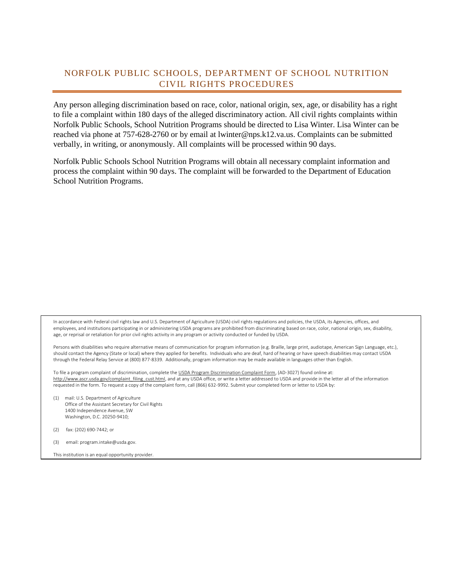## NORFOLK PUBLIC SCHOOLS, DEPARTMENT OF SCHOOL NUTRITION CIVIL RIGHTS PROCEDURES

Any person alleging discrimination based on race, color, national origin, sex, age, or disability has a right to file a complaint within 180 days of the alleged discriminatory action. All civil rights complaints within Norfolk Public Schools, School Nutrition Programs should be directed to Lisa Winter. Lisa Winter can be reached via phone at 757-628-2760 or by email at lwinter@nps.k12.va.us. Complaints can be submitted verbally, in writing, or anonymously. All complaints will be processed within 90 days.

Norfolk Public Schools School Nutrition Programs will obtain all necessary complaint information and process the complaint within 90 days. The complaint will be forwarded to the Department of Education School Nutrition Programs.

In accordance with Federal civil rights law and U.S. Department of Agriculture (USDA) civil rights regulations and policies, the USDA, its Agencies, offices, and employees, and institutions participating in or administering USDA programs are prohibited from discriminating based on race, color, national origin, sex, disability, age, or reprisal or retaliation for prior civil rights activity in any program or activity conducted or funded by USDA.

Persons with disabilities who require alternative means of communication for program information (e.g. Braille, large print, audiotape, American Sign Language, etc.), should contact the Agency (State or local) where they applied for benefits. Individuals who are deaf, hard of hearing or have speech disabilities may contact USDA through the Federal Relay Service at (800) 877-8339. Additionally, program information may be made available in languages other than English.

To file a program complaint of discrimination, complete th[e USDA Program Discrimination Complaint Form,](http://www.ocio.usda.gov/sites/default/files/docs/2012/Complain_combined_6_8_12.pdf) (AD-3027) found online at: [http://www.ascr.usda.gov/complaint\\_filing\\_cust.html,](http://www.ascr.usda.gov/complaint_filing_cust.html) and at any USDA office, or write a letter addressed to USDA and provide in the letter all of the information requested in the form. To request a copy of the complaint form, call (866) 632-9992. Submit your completed form or letter to USDA by:

(1) mail: U.S. Department of Agriculture Office of the Assistant Secretary for Civil Rights 1400 Independence Avenue, SW Washington, D.C. 20250-9410;

(2) fax: (202) 690-7442; or

(3) email: program.intake@usda.gov.

This institution is an equal opportunity provider.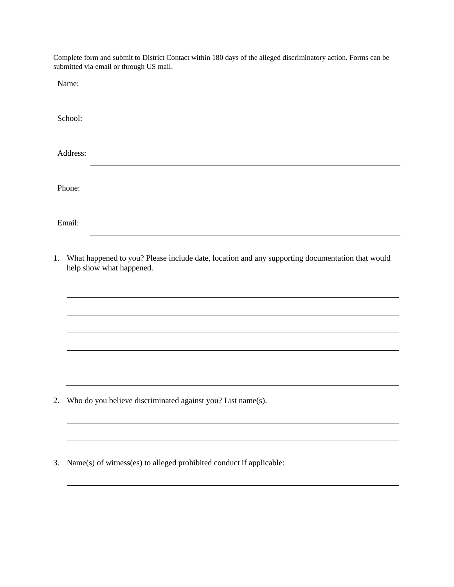Complete form and submit to District Contact within 180 days of the alleged discriminatory action. Forms can be submitted via email or through US mail.

| Name:    |                                                                                                                             |
|----------|-----------------------------------------------------------------------------------------------------------------------------|
| School:  |                                                                                                                             |
| Address: |                                                                                                                             |
| Phone:   |                                                                                                                             |
| Email:   |                                                                                                                             |
| 1.       | What happened to you? Please include date, location and any supporting documentation that would<br>help show what happened. |
|          |                                                                                                                             |
|          |                                                                                                                             |
|          |                                                                                                                             |
| 2.       | Who do you believe discriminated against you? List name(s).                                                                 |
|          |                                                                                                                             |
| 3.       | Name(s) of witness(es) to alleged prohibited conduct if applicable:                                                         |